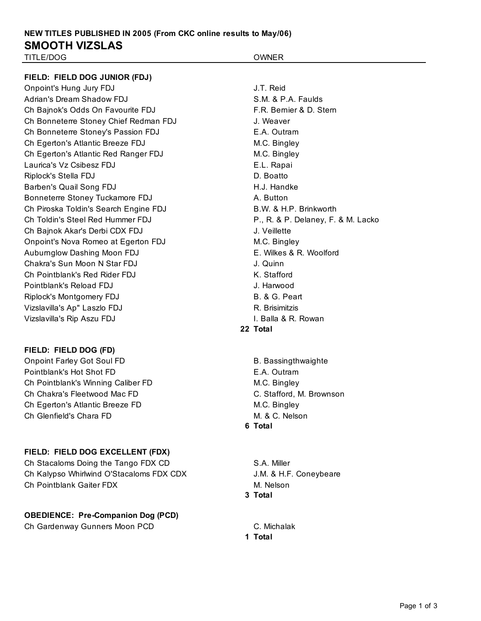# **NEW TITLES PUBLISHED IN 2005 (From CKC online results to May/06) SMOOTH VIZSLAS**

TITLE/DOG OWNER

#### **FIELD: FIELD DOG JUNIOR (FDJ)**

Onpoint's Hung Jury FDJ **J.T. Reid** Adrian's Dream Shadow FDJ S.M. & P.A. Faulds Ch Bajnok's Odds On Favourite FDJ F.R. Bernier & D. Stern Ch Bonneterre Stoney Chief Redman FDJ J. Weaver Ch Bonneterre Stoney's Passion FDJ E.A. Outram Ch Egerton's Atlantic Breeze FDJ M.C. Bingley Ch Egerton's Atlantic Red Ranger FDJ M.C. Bingley Laurica's Vz Csibesz FDJ E.L. Rapai Riplock's Stella FDJ D. Boatto Barben's Quail Song FDJ **H.J. Handke** Bonneterre Stoney Tuckamore FDJ A. Button Ch Piroska Toldin's Search Engine FDJ B.W. & H.P. Brinkworth Ch Toldin's Steel Red Hummer FDJ P., R. & P. Delaney, F. & M. Lacko Ch Bajnok Akar's Derbi CDX FDJ J. Veillette Onpoint's Nova Romeo at Egerton FDJ M.C. Bingley Auburnglow Dashing Moon FDJ **E. Wilkes & R. Woolford** Chakra's Sun Moon N Star FDJ J. Quinn Ch Pointblank's Red Rider FDJ K. Stafford Pointblank's Reload FDJ **J. Harwood** Riplock's Montgomery FDJ B. & G. Peart Vizslavilla's Ap" Laszlo FDJ R. Brisimitzis Vizslavilla's Rip Aszu FDJ I. Balla & R. Rowan

#### **FIELD: FIELD DOG (FD)**

Onpoint Farley Got Soul FD B. Bassingthwaighte Pointblank's Hot Shot FD **E.A.** Outram Ch Pointblank's Winning Caliber FD M.C. Bingley Ch Chakra's Fleetwood Mac FD C. Stafford, M. Brownson Ch Egerton's Atlantic Breeze FD M.C. Bingley Ch Glenfield's Chara FD M. & C. Nelson

# **FIELD: FIELD DOG EXCELLENT (FDX)**

Ch Stacaloms Doing the Tango FDX CD S.A. Miller Ch Kalypso Whirlwind O'Stacaloms FDX CDX J.M. & H.F. Coneybeare Ch Pointblank Gaiter FDX M. Nelson

# **OBEDIENCE: Pre-Companion Dog (PCD)**

Ch Gardenway Gunners Moon PCD C. Michalak

**22 Total**

# **6 Total**

# **3 Total**

**1 Total**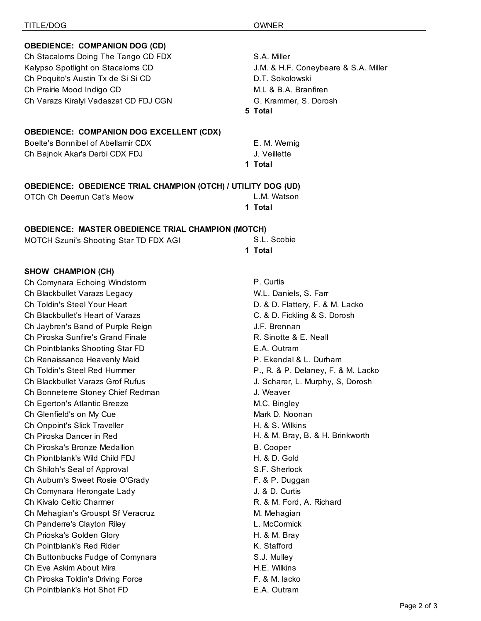| <b>TITLE/DOG</b>                                                       | <b>OWNER</b>                         |
|------------------------------------------------------------------------|--------------------------------------|
|                                                                        |                                      |
| <b>OBEDIENCE: COMPANION DOG (CD)</b>                                   |                                      |
| Ch Stacaloms Doing The Tango CD FDX                                    | S.A. Miller                          |
| Kalypso Spotlight on Stacaloms CD                                      | J.M. & H.F. Coneybeare & S.A. Miller |
| Ch Poquito's Austin Tx de Si Si CD                                     | D.T. Sokolowski                      |
| Ch Prairie Mood Indigo CD                                              | M.L & B.A. Branfiren                 |
| Ch Varazs Kiralyi Vadaszat CD FDJ CGN                                  | G. Krammer, S. Dorosh                |
|                                                                        | 5 Total                              |
| <b>OBEDIENCE: COMPANION DOG EXCELLENT (CDX)</b>                        |                                      |
| Boelte's Bonnibel of Abellamir CDX                                     | E. M. Wernig                         |
| Ch Bajnok Akar's Derbi CDX FDJ                                         | J. Veillette                         |
|                                                                        | 1 Total                              |
|                                                                        |                                      |
| <b>OBEDIENCE: OBEDIENCE TRIAL CHAMPION (OTCH) / UTILITY DOG (UD)</b>   |                                      |
| OTCh Ch Deerrun Cat's Meow                                             | L.M. Watson                          |
|                                                                        | 1 Total                              |
|                                                                        |                                      |
| <b>OBEDIENCE: MASTER OBEDIENCE TRIAL CHAMPION (MOTCH)</b>              |                                      |
| MOTCH Szuni's Shooting Star TD FDX AGI                                 | S.L. Scobie                          |
|                                                                        | 1 Total                              |
|                                                                        |                                      |
| <b>SHOW CHAMPION (CH)</b>                                              | P. Curtis                            |
| Ch Comynara Echoing Windstorm                                          |                                      |
| Ch Blackbullet Varazs Legacy<br>Ch Toldin's Steel Your Heart           | W.L. Daniels, S. Farr                |
|                                                                        | D. & D. Flattery, F. & M. Lacko      |
| Ch Blackbullet's Heart of Varazs                                       | C. & D. Fickling & S. Dorosh         |
| Ch Jaybren's Band of Purple Reign<br>Ch Piroska Sunfire's Grand Finale | J.F. Brennan                         |
|                                                                        | R. Sinotte & E. Neall                |
| Ch Pointblanks Shooting Star FD                                        | E.A. Outram                          |
| Ch Renaissance Heavenly Maid                                           | P. Ekendal & L. Durham               |
| Ch Toldin's Steel Red Hummer                                           | P., R. & P. Delaney, F. & M. Lacko   |
| Ch Blackbullet Varazs Grof Rufus                                       | J. Scharer, L. Murphy, S, Dorosh     |
| Ch Bonneterre Stoney Chief Redman                                      | J. Weaver                            |
| Ch Egerton's Atlantic Breeze                                           | M.C. Bingley                         |
| Ch Glenfield's on My Cue                                               | Mark D. Noonan                       |
| Ch Onpoint's Slick Traveller                                           | H. & S. Wilkins                      |
| Ch Piroska Dancer in Red                                               | H. & M. Bray, B. & H. Brinkworth     |
| Ch Piroska's Bronze Medallion                                          | <b>B.</b> Cooper                     |
| Ch Piontblank's Wild Child FDJ                                         | H. & D. Gold                         |
| Ch Shiloh's Seal of Approval                                           | S.F. Sherlock                        |
| Ch Aubum's Sweet Rosie O'Grady                                         | F. & P. Duggan                       |
| Ch Comynara Herongate Lady                                             | J. & D. Curtis                       |
| Ch Kivalo Celtic Charmer                                               | R. & M. Ford, A. Richard             |
| Ch Mehagian's Grouspt Sf Veracruz                                      | M. Mehagian                          |
| Ch Panderre's Clayton Riley                                            | L. McCormick                         |
| Ch Prioska's Golden Glory                                              | H. & M. Bray                         |
| Ch Pointblank's Red Rider                                              | K. Stafford                          |
| Ch Buttonbucks Fudge of Comynara                                       | S.J. Mulley                          |
| Ch Eve Askim About Mira                                                | H.E. Wilkins                         |
| Ch Piroska Toldin's Driving Force                                      | F. & M. lacko                        |
| Ch Pointblank's Hot Shot FD                                            | E.A. Outram                          |